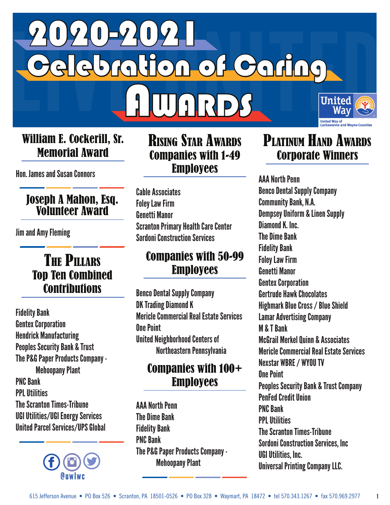

#### William E. Cockerill, Sr. Memorial Award

Hon. James and Susan Connors

#### Joseph A Mahon, Esq. Volunteer Award

Jim and Amy Fleming

#### The Pillars Top Ten Combined **Contributions**

 Fidelity Bank Gentex Corporation Hendrick Manufacturing Peoples Security Bank & Trust The P&G Paper Products Company - Mehoopany Plant PNC Bank PPL Utilities The Scranton Times-Tribune UGI Utilities/UGI Energy Services United Parcel Services/UPS Global



#### Rising Star Awards Companies with 1-49 Employees

 Cable Associates Foley Law Firm Genetti Manor Scranton Primary Health Care Center Sordoni Construction Services

#### Companies with 50-99 Employees

 Benco Dental Supply Company DK Trading Diamond K Mericle Commercial Real Estate Services One Point United Neighborhood Centers of Northeastern Pennsylvania

#### Companies with 100+ **Employees**

 AAA North Penn The Dime Bank Fidelity Bank PNC Bank The P&G Paper Products Company - Mehoopany Plant

## PLATINUM HAND AWARDS Corporate Winners

 AAA North Penn Benco Dental Supply Company Community Bank, N.A. Dempsey Uniform & Linen Supply Diamond K. Inc. The Dime Bank Fidelity Bank Foley Law Firm Genetti Manor Gentex Corporation Gertrude Hawk Chocolates Highmark Blue Cross / Blue Shield Lamar Advertising Company M & T Bank McGrail Merkel Quinn & Associates Mericle Commercial Real Estate Services Nexstar WBRE / WYOU TV One Point Peoples Security Bank & Trust Company PenFed Credit Union PNC Bank PPL Utilities The Scranton Times-Tribune Sordoni Construction Services, Inc UGI Utilities, Inc. Universal Printing Company LLC.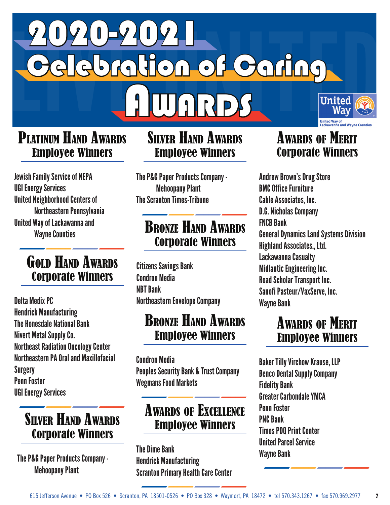

### PLATINUM HAND AWARDS Employee Winners

 Jewish Family Service of NEPA UGI Energy Services United Neighborhood Centers of Northeastern Pennsylvania United Way of Lackawanna and Wayne Counties

### GOLD HAND AWARDS Corporate Winners

 Delta Medix PC Hendrick Manufacturing The Honesdale National Bank Nivert Metal Supply Co. Northeast Radiation Oncology Center Northeastern PA Oral and Maxillofacial Surgery Penn Foster UGI Energy Services

### Silver Hand Awards Corporate Winners

 The P&G Paper Products Company - Mehoopany Plant

## Silver Hand Awards Employee Winners

 The P&G Paper Products Company - Mehoopany Plant The Scranton Times-Tribune

## Bronze Hand Awards Corporate Winners

 Citizens Savings Bank Condron Media NBT Bank Northeastern Envelope Company

#### Bronze Hand Awards Employee Winners

 Condron Media Peoples Security Bank & Trust Company Wegmans Food Markets

## Awards of Excellence Employee Winners

 The Dime Bank Hendrick Manufacturing Scranton Primary Health Care Center

### **AWARDS OF MERIT** Corporate Winners

 Andrew Brown's Drug Store BMC Office Furniture Cable Associates, Inc. D.G. Nicholas Company FNCB Bank General Dynamics Land Systems Division Highland Associates., Ltd. Lackawanna Casualty Midlantic Engineering Inc. Road Scholar Transport Inc. Sanofi Pasteur/VaxServe, Inc. Wayne Bank

## **AWARDS OF MERIT** Employee Winners

 Baker Tilly Virchow Krause, LLP Benco Dental Supply Company Fidelity Bank Greater Carbondale YMCA Penn Foster PNC Bank Times PDQ Print Center United Parcel Service Wayne Bank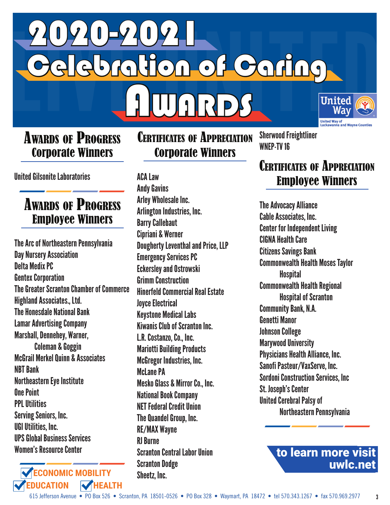

#### **AwARDS OF PROGRESS** Corporate Winners

United Gilsonite Laboratories

## **Awards of Progress** Employee Winners

 The Arc of Northeastern Pennsylvania Day Nursery Association Delta Medix PC Gentex Corporation The Greater Scranton Chamber of Commerce Highland Associates., Ltd. The Honesdale National Bank Lamar Advertising Company Marshall, Dennehey, Warner, Coleman & Goggin McGrail Merkel Quinn & Associates NBT Bank Northeastern Eye Institute One Point PPL Utilities Serving Seniors, Inc. UGI Utilities, Inc. UPS Global Business Services Women's Resource Center



### Certificates of Appreciation Corporate Winners

 ACA Law Andy Gavins Arley Wholesale Inc. Arlington Industries, Inc. Barry Callebaut Cipriani & Werner Dougherty Leventhal and Price, LLP Emergency Services PC Eckersley and Ostrowski Grimm Construction Hinerfeld Commercial Real Estate Joyce Electrical Keystone Medical Labs Kiwanis Club of Scranton Inc. L.R. Costanzo, Co., Inc. Mariotti Building Products McGregor Industries, Inc. McI ane PA Mesko Glass & Mirror Co., Inc. National Book Company NET Federal Credit Union The Quandel Group, Inc. RE/MAX Wayne RJ Burne Scranton Central Labor Union Scranton Dodge Sheetz, Inc.

 Sherwood Freightliner WNEP-TV 16

### Certificates of Appreciation Employee Winners

 The Advocacy Alliance Cable Associates, Inc. Center for Independent Living CIGNA Health Care Citizens Savings Bank Commonwealth Health Moses Taylor **Hospital**  Commonwealth Health Regional Hospital of Scranton Community Bank, N.A. Genetti Manor Johnson College Marywood University Physicians Health Alliance, Inc. Sanofi Pasteur/VaxServe, Inc. Sordoni Construction Services, Inc St. Joseph's Center United Cerebral Palsy of Northeastern Pennsylvania

> to learn more visit uwlc.net